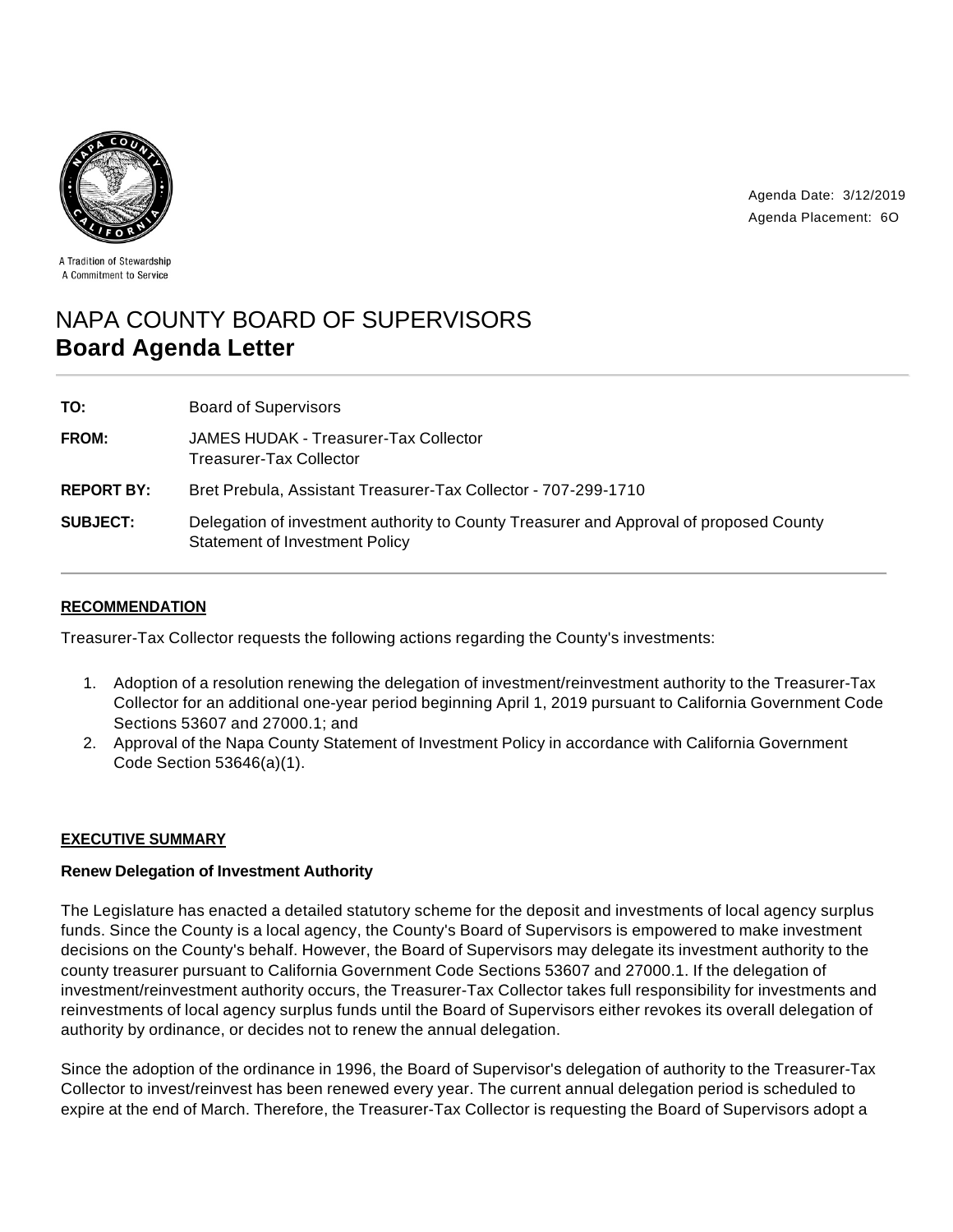



A Tradition of Stewardship A Commitment to Service

# NAPA COUNTY BOARD OF SUPERVISORS **Board Agenda Letter**

| TO:               | <b>Board of Supervisors</b>                                                                                                     |
|-------------------|---------------------------------------------------------------------------------------------------------------------------------|
| <b>FROM:</b>      | JAMES HUDAK - Treasurer-Tax Collector<br>Treasurer-Tax Collector                                                                |
| <b>REPORT BY:</b> | Bret Prebula, Assistant Treasurer-Tax Collector - 707-299-1710                                                                  |
| <b>SUBJECT:</b>   | Delegation of investment authority to County Treasurer and Approval of proposed County<br><b>Statement of Investment Policy</b> |

## **RECOMMENDATION**

Treasurer-Tax Collector requests the following actions regarding the County's investments:

- 1. Adoption of a resolution renewing the delegation of investment/reinvestment authority to the Treasurer-Tax Collector for an additional one-year period beginning April 1, 2019 pursuant to California Government Code Sections 53607 and 27000.1; and
- 2. Approval of the Napa County Statement of Investment Policy in accordance with California Government Code Section 53646(a)(1).

## **EXECUTIVE SUMMARY**

## **Renew Delegation of Investment Authority**

The Legislature has enacted a detailed statutory scheme for the deposit and investments of local agency surplus funds. Since the County is a local agency, the County's Board of Supervisors is empowered to make investment decisions on the County's behalf. However, the Board of Supervisors may delegate its investment authority to the county treasurer pursuant to California Government Code Sections 53607 and 27000.1. If the delegation of investment/reinvestment authority occurs, the Treasurer-Tax Collector takes full responsibility for investments and reinvestments of local agency surplus funds until the Board of Supervisors either revokes its overall delegation of authority by ordinance, or decides not to renew the annual delegation.

Since the adoption of the ordinance in 1996, the Board of Supervisor's delegation of authority to the Treasurer-Tax Collector to invest/reinvest has been renewed every year. The current annual delegation period is scheduled to expire at the end of March. Therefore, the Treasurer-Tax Collector is requesting the Board of Supervisors adopt a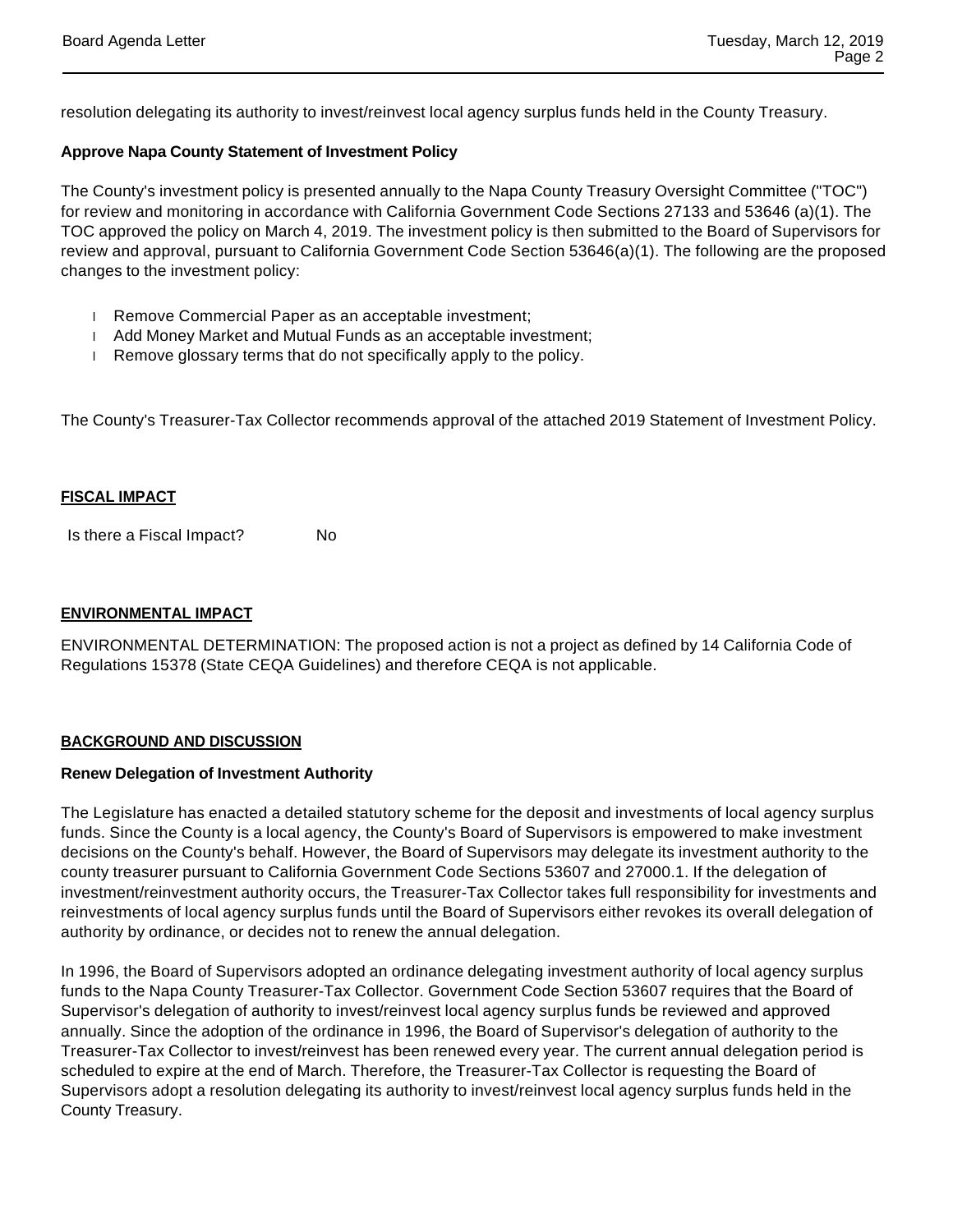resolution delegating its authority to invest/reinvest local agency surplus funds held in the County Treasury.

### **Approve Napa County Statement of Investment Policy**

The County's investment policy is presented annually to the Napa County Treasury Oversight Committee ("TOC") for review and monitoring in accordance with California Government Code Sections 27133 and 53646 (a)(1). The TOC approved the policy on March 4, 2019. The investment policy is then submitted to the Board of Supervisors for review and approval, pursuant to California Government Code Section 53646(a)(1). The following are the proposed changes to the investment policy:

- Remove Commercial Paper as an acceptable investment;
- Add Money Market and Mutual Funds as an acceptable investment;
- Remove glossary terms that do not specifically apply to the policy.

The County's Treasurer-Tax Collector recommends approval of the attached 2019 Statement of Investment Policy.

#### **FISCAL IMPACT**

Is there a Fiscal Impact? No

#### **ENVIRONMENTAL IMPACT**

ENVIRONMENTAL DETERMINATION: The proposed action is not a project as defined by 14 California Code of Regulations 15378 (State CEQA Guidelines) and therefore CEQA is not applicable.

#### **BACKGROUND AND DISCUSSION**

#### **Renew Delegation of Investment Authority**

The Legislature has enacted a detailed statutory scheme for the deposit and investments of local agency surplus funds. Since the County is a local agency, the County's Board of Supervisors is empowered to make investment decisions on the County's behalf. However, the Board of Supervisors may delegate its investment authority to the county treasurer pursuant to California Government Code Sections 53607 and 27000.1. If the delegation of investment/reinvestment authority occurs, the Treasurer-Tax Collector takes full responsibility for investments and reinvestments of local agency surplus funds until the Board of Supervisors either revokes its overall delegation of authority by ordinance, or decides not to renew the annual delegation.

In 1996, the Board of Supervisors adopted an ordinance delegating investment authority of local agency surplus funds to the Napa County Treasurer-Tax Collector. Government Code Section 53607 requires that the Board of Supervisor's delegation of authority to invest/reinvest local agency surplus funds be reviewed and approved annually. Since the adoption of the ordinance in 1996, the Board of Supervisor's delegation of authority to the Treasurer-Tax Collector to invest/reinvest has been renewed every year. The current annual delegation period is scheduled to expire at the end of March. Therefore, the Treasurer-Tax Collector is requesting the Board of Supervisors adopt a resolution delegating its authority to invest/reinvest local agency surplus funds held in the County Treasury.